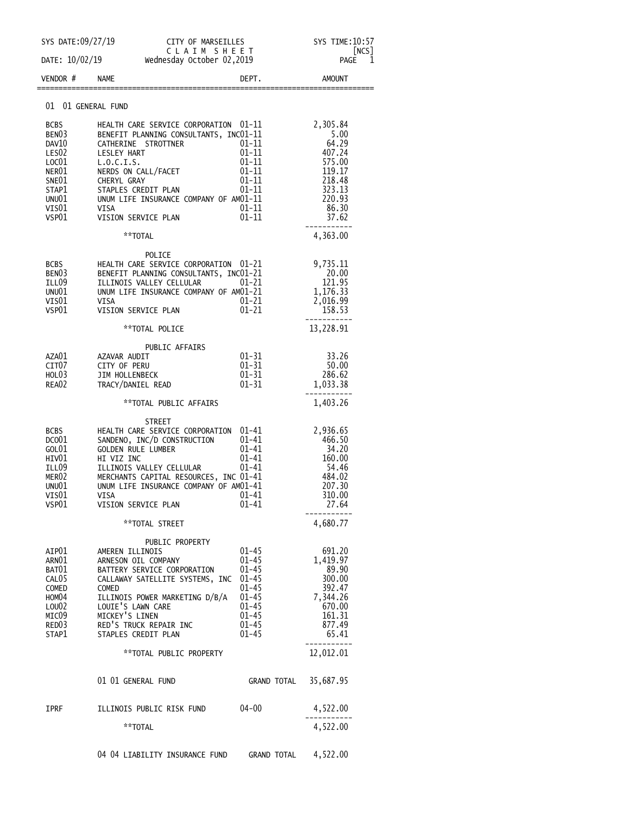| SYS DATE:09/27/19                                                                                                             |                                                                                                                                                                                                                                                                                 |                                                                                                                                | SYS TIME:10:57<br>[NCS]                                                                                 |
|-------------------------------------------------------------------------------------------------------------------------------|---------------------------------------------------------------------------------------------------------------------------------------------------------------------------------------------------------------------------------------------------------------------------------|--------------------------------------------------------------------------------------------------------------------------------|---------------------------------------------------------------------------------------------------------|
|                                                                                                                               | CITY OF MARSEILLES<br>C L A I M S H E E T<br>codou Ostober 02.2010<br>DATE: 10/02/19 Wednesday October 02,2019                                                                                                                                                                  |                                                                                                                                | 1<br>PAGE                                                                                               |
| VENDOR #                                                                                                                      | <b>NAME</b>                                                                                                                                                                                                                                                                     | DEPT.                                                                                                                          | <b>AMOUNT</b>                                                                                           |
| 01                                                                                                                            | 01 GENERAL FUND                                                                                                                                                                                                                                                                 |                                                                                                                                |                                                                                                         |
| <b>BCBS</b><br>BEN <sub>03</sub><br>DAV10<br>LES <sub>02</sub><br>LOC01<br>NER01<br>SNE01<br>STAP1<br>UNU01<br>VIS01<br>VSP01 | HEALTH CARE SERVICE CORPORATION 01-11<br>BENEFIT PLANNING CONSULTANTS, INC01-11<br>CATHERINE STROTTNER<br>LESLEY HART<br>L.0.C.I.S.<br>NERDS ON CALL/FACET<br>CHERYL GRAY<br>STAPLES CREDIT PLAN<br>UNUM LIFE INSURANCE COMPANY OF AM01-11<br>VISA<br>VISION SERVICE PLAN       | $01 - 11$<br>$01 - 11$<br>$01 - 11$<br>$01 - 11$<br>$01 - 11$<br>$01 - 11$<br>$01 - 11$<br>$01 - 11$                           | 2,305.84<br>5.00<br>64.29<br>407.24<br>575.00<br>119.17<br>218.48<br>323.13<br>220.93<br>86.30<br>37.62 |
|                                                                                                                               | **TOTAL                                                                                                                                                                                                                                                                         |                                                                                                                                | 4,363.00                                                                                                |
| BCBS<br>BENO3<br>ILL09<br>UNU01<br>VISO1<br>VSP01                                                                             | POLICE<br>HEALTH CARE SERVICE CORPORATION 01-21<br>BENEFIT PLANNING CONSULTANTS, INC01-21<br>ILLINOIS VALLEY CELLULAR<br>UNUM LIFE INSURANCE COMPANY OF AM01-21<br>VISA<br>VISION SERVICE PLAN                                                                                  | 01–21<br>$01 - 21$<br>$01 - 21$                                                                                                | 9,735.11<br>20.00<br>121.95<br>1,176.33<br>2,016.99<br>158.53                                           |
|                                                                                                                               | **TOTAL POLICE                                                                                                                                                                                                                                                                  |                                                                                                                                | 13,228.91                                                                                               |
| AZA01<br>CIT <sub>07</sub><br>HOL03<br>REA02                                                                                  | PUBLIC AFFAIRS<br>AZAVAR AUDIT<br>CITY OF PERU<br>JIM HOLLENBECK<br>TRACY/DANIEL READ                                                                                                                                                                                           | $01 - 31$<br>$01 - 31$<br>$01 - 31$<br>01-31                                                                                   | 33.26<br>50.00<br>286.62<br>1,033.38                                                                    |
|                                                                                                                               | **TOTAL PUBLIC AFFAIRS                                                                                                                                                                                                                                                          |                                                                                                                                | 1,403.26                                                                                                |
| BCBS<br>DCO <sub>01</sub><br>GOL01<br>HIV01<br>ILL09<br>MER02<br>UNU01<br>VISO1<br>VSP01                                      | <b>STREET</b><br>HEALTH CARE SERVICE CORPORATION 01-41<br>SANDENO, INC/D CONSTRUCTION<br><b>GOLDEN RULE LUMBER</b><br>HI VIZ INC<br>ILLINOIS VALLEY CELLULAR<br>MERCHANTS CAPITAL RESOURCES, INC 01-41<br>UNUM LIFE INSURANCE COMPANY OF AM01-41<br>VISA<br>VISION SERVICE PLAN | $01 - 41$<br>$01 - 41$<br>$01 - 41$<br>01-41<br>01-41<br>$01 - 41$                                                             | 2,936.65<br>466.50<br>34.20<br>160.00<br>54.46<br>484.02<br>207.30<br>310.00<br>27.64                   |
|                                                                                                                               | **TOTAL STREET                                                                                                                                                                                                                                                                  |                                                                                                                                | 4,680.77                                                                                                |
| AIP01<br>ARNO1<br>BAT01<br>CAL <sub>05</sub><br><b>COMED</b><br>HOM04<br>LOU02<br>MIC09<br>RED03<br>STAP1                     | PUBLIC PROPERTY<br>AMEREN ILLINOIS<br>ARNESON OIL COMPANY<br>BATTERY SERVICE CORPORATION<br>CALLAWAY SATELLITE SYSTEMS, INC<br><b>COMED</b><br>ILLINOIS POWER MARKETING D/B/A<br>LOUIE'S LAWN CARE<br>MICKEY'S LINEN<br>RED'S TRUCK REPAIR INC<br>STAPLES CREDIT PLAN           | $01 - 45$<br>$01 - 45$<br>$01 - 45$<br>$01 - 45$<br>$01 - 45$<br>$01 - 45$<br>$01 - 45$<br>$01 - 45$<br>$01 - 45$<br>$01 - 45$ | 691.20<br>1,419.97<br>89.90<br>300.00<br>392.47<br>7,344.26<br>670.00<br>161.31<br>877.49<br>65.41      |
|                                                                                                                               | **TOTAL PUBLIC PROPERTY                                                                                                                                                                                                                                                         |                                                                                                                                | 12,012.01                                                                                               |
|                                                                                                                               | 01 01 GENERAL FUND                                                                                                                                                                                                                                                              | GRAND TOTAL                                                                                                                    | 35,687.95                                                                                               |
| IPRF                                                                                                                          | ILLINOIS PUBLIC RISK FUND                                                                                                                                                                                                                                                       | $04 - 00$                                                                                                                      | 4,522.00                                                                                                |
|                                                                                                                               | **TOTAL                                                                                                                                                                                                                                                                         |                                                                                                                                | 4,522.00                                                                                                |
|                                                                                                                               | 04 04 LIABILITY INSURANCE FUND GRAND TOTAL                                                                                                                                                                                                                                      |                                                                                                                                | 4,522.00                                                                                                |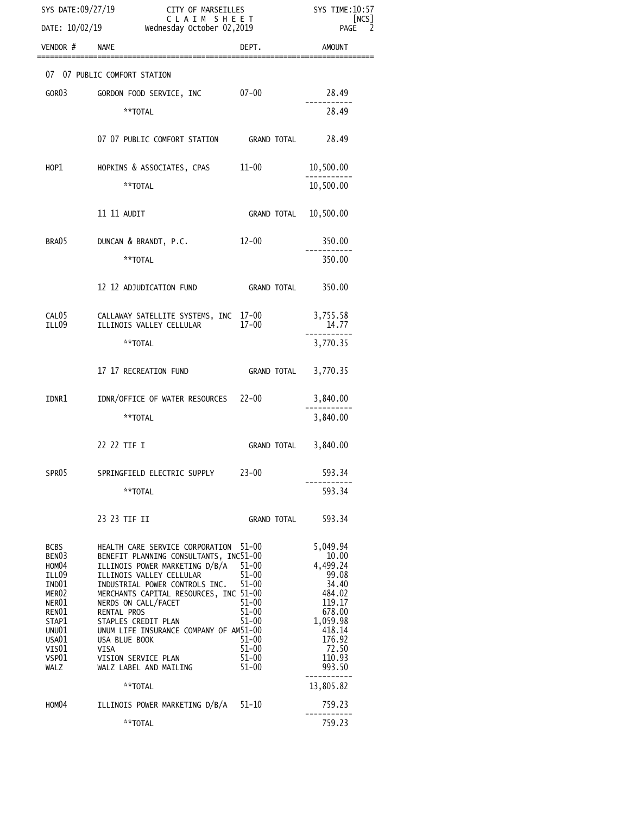| SYS DATE:09/27/19<br>CITY OF MARSEILLES<br>CLAIM SHEET                                                                               |                                                                                                                                                                                                                                                                                                                                                                                                                   |                                                                                                                            | SYS TIME: 10:57<br> NCS                                                                                                                    |
|--------------------------------------------------------------------------------------------------------------------------------------|-------------------------------------------------------------------------------------------------------------------------------------------------------------------------------------------------------------------------------------------------------------------------------------------------------------------------------------------------------------------------------------------------------------------|----------------------------------------------------------------------------------------------------------------------------|--------------------------------------------------------------------------------------------------------------------------------------------|
|                                                                                                                                      | DATE: 10/02/19 wednesday October 02,2019                                                                                                                                                                                                                                                                                                                                                                          |                                                                                                                            | <b>PAGE</b>                                                                                                                                |
| VENDOR #                                                                                                                             | <b>NAME</b>                                                                                                                                                                                                                                                                                                                                                                                                       | DEPT.                                                                                                                      | <b>AMOUNT</b>                                                                                                                              |
|                                                                                                                                      | 07 07 PUBLIC COMFORT STATION                                                                                                                                                                                                                                                                                                                                                                                      |                                                                                                                            |                                                                                                                                            |
| GOR03                                                                                                                                | $07 - 00$<br>GORDON FOOD SERVICE, INC                                                                                                                                                                                                                                                                                                                                                                             |                                                                                                                            | 28.49                                                                                                                                      |
|                                                                                                                                      | **TOTAL                                                                                                                                                                                                                                                                                                                                                                                                           |                                                                                                                            | 28.49                                                                                                                                      |
|                                                                                                                                      | 07 07 PUBLIC COMFORT STATION GRAND TOTAL                                                                                                                                                                                                                                                                                                                                                                          |                                                                                                                            | 28.49                                                                                                                                      |
| HOP1                                                                                                                                 | HOPKINS & ASSOCIATES, CPAS 11-00                                                                                                                                                                                                                                                                                                                                                                                  |                                                                                                                            | 10,500.00                                                                                                                                  |
|                                                                                                                                      | **TOTAL                                                                                                                                                                                                                                                                                                                                                                                                           |                                                                                                                            | 10,500.00                                                                                                                                  |
|                                                                                                                                      | 11 11 AUDIT                                                                                                                                                                                                                                                                                                                                                                                                       | GRAND TOTAL                                                                                                                | 10,500.00                                                                                                                                  |
| BRA05                                                                                                                                | DUNCAN & BRANDT, P.C.                                                                                                                                                                                                                                                                                                                                                                                             | $12 - 00$                                                                                                                  | 350.00                                                                                                                                     |
|                                                                                                                                      | **TOTAL                                                                                                                                                                                                                                                                                                                                                                                                           |                                                                                                                            | 350.00                                                                                                                                     |
|                                                                                                                                      | 12 12 ADJUDICATION FUND                                                                                                                                                                                                                                                                                                                                                                                           | GRAND TOTAL                                                                                                                | 350.00                                                                                                                                     |
| CAL05<br>ILL09                                                                                                                       | CALLAWAY SATELLITE SYSTEMS, INC 17-00<br>ILLINOIS VALLEY CELLULAR                                                                                                                                                                                                                                                                                                                                                 | $17 - 00$                                                                                                                  | 3,755.58<br>14.77                                                                                                                          |
|                                                                                                                                      | **TOTAL                                                                                                                                                                                                                                                                                                                                                                                                           |                                                                                                                            | 3,770.35                                                                                                                                   |
|                                                                                                                                      | 17 17 RECREATION FUND                                                                                                                                                                                                                                                                                                                                                                                             | GRAND TOTAL                                                                                                                | 3,770.35                                                                                                                                   |
| IDNR1                                                                                                                                | IDNR/OFFICE OF WATER RESOURCES 22-00                                                                                                                                                                                                                                                                                                                                                                              |                                                                                                                            | 3,840.00                                                                                                                                   |
|                                                                                                                                      | **TOTAL                                                                                                                                                                                                                                                                                                                                                                                                           |                                                                                                                            | 3,840.00                                                                                                                                   |
|                                                                                                                                      | 22 22 TIF I                                                                                                                                                                                                                                                                                                                                                                                                       | GRAND TOTAL                                                                                                                | 3,840.00                                                                                                                                   |
| SPR <sub>05</sub>                                                                                                                    | SPRINGFIELD ELECTRIC SUPPLY                                                                                                                                                                                                                                                                                                                                                                                       | $23 - 00$                                                                                                                  | 593.34                                                                                                                                     |
|                                                                                                                                      | **TOTAL                                                                                                                                                                                                                                                                                                                                                                                                           |                                                                                                                            | 593.34                                                                                                                                     |
|                                                                                                                                      | 23 23 TIF II                                                                                                                                                                                                                                                                                                                                                                                                      | <b>GRAND TOTAL</b>                                                                                                         | 593.34                                                                                                                                     |
| BCBS<br>BEN <sub>03</sub><br>HOM04<br>ILL09<br>IND01<br>MER02<br>NER01<br>RENO1<br>STAP1<br>UNU01<br>USA01<br>VIS01<br>VSP01<br>WALZ | HEALTH CARE SERVICE CORPORATION 51-00<br>BENEFIT PLANNING CONSULTANTS, INC51-00<br>ILLINOIS POWER MARKETING D/B/A<br>ILLINOIS VALLEY CELLULAR<br>INDUSTRIAL POWER CONTROLS INC.<br>MERCHANTS CAPITAL RESOURCES, INC 51-00<br>NERDS ON CALL/FACET<br>RENTAL PROS<br>STAPLES CREDIT PLAN<br>UNUM LIFE INSURANCE COMPANY OF AM51-00<br>USA BLUE BOOK<br><b>VISA</b><br>VISION SERVICE PLAN<br>WALZ LABEL AND MAILING | $51 - 00$<br>$51 - 00$<br>$51 - 00$<br>$51 - 00$<br>$51 - 00$<br>$51 - 00$<br>51-00<br>$51 - 00$<br>$51 - 00$<br>$51 - 00$ | 5,049.94<br>10.00<br>4,499.24<br>99.08<br>34.40<br>484.02<br>119.17<br>678.00<br>1,059.98<br>418.14<br>176.92<br>72.50<br>110.93<br>993.50 |
|                                                                                                                                      | **TOTAL                                                                                                                                                                                                                                                                                                                                                                                                           |                                                                                                                            | 13,805.82                                                                                                                                  |
| HOM04                                                                                                                                | ILLINOIS POWER MARKETING D/B/A                                                                                                                                                                                                                                                                                                                                                                                    | 51-10                                                                                                                      | 759.23                                                                                                                                     |
|                                                                                                                                      | **TOTAL                                                                                                                                                                                                                                                                                                                                                                                                           |                                                                                                                            | 759.23                                                                                                                                     |